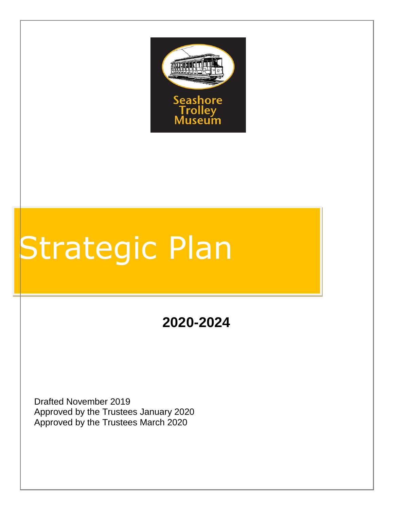

# Strategic Plan

**2020-2024**

Drafted November 2019 Approved by the Trustees January 2020 Approved by the Trustees March 2020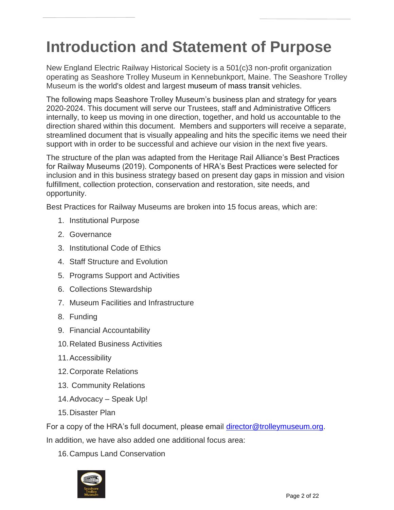# **Introduction and Statement of Purpose**

New England Electric Railway Historical Society is a 501(c)3 non-profit organization operating as Seashore Trolley Museum in Kennebunkport, Maine. The Seashore Trolley Museum is the world's oldest and largest museum of mass transit vehicles.

The following maps Seashore Trolley Museum's business plan and strategy for years 2020-2024. This document will serve our Trustees, staff and Administrative Officers internally, to keep us moving in one direction, together, and hold us accountable to the direction shared within this document. Members and supporters will receive a separate, streamlined document that is visually appealing and hits the specific items we need their support with in order to be successful and achieve our vision in the next five years.

The structure of the plan was adapted from the Heritage Rail Alliance's Best Practices for Railway Museums (2019). Components of HRA's Best Practices were selected for inclusion and in this business strategy based on present day gaps in mission and vision fulfillment, collection protection, conservation and restoration, site needs, and opportunity.

Best Practices for Railway Museums are broken into 15 focus areas, which are:

- 1. Institutional Purpose
- 2. Governance
- 3. Institutional Code of Ethics
- 4. Staff Structure and Evolution
- 5. Programs Support and Activities
- 6. Collections Stewardship
- 7. Museum Facilities and Infrastructure
- 8. Funding
- 9. Financial Accountability
- 10.Related Business Activities
- 11.Accessibility
- 12.Corporate Relations
- 13. Community Relations
- 14.Advocacy Speak Up!
- 15.Disaster Plan

For a copy of the HRA's full document, please email [director@trolleymuseum.org.](mailto:director@trolleymuseum.org)

In addition, we have also added one additional focus area:

16.Campus Land Conservation

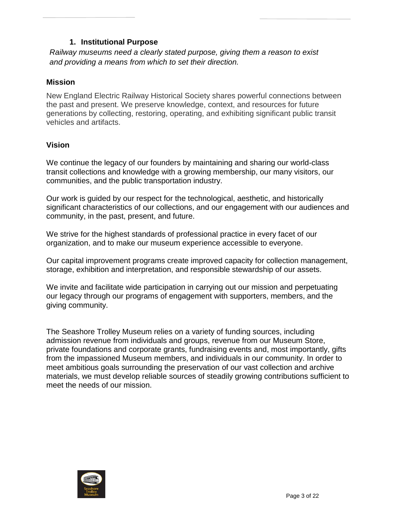# **1. Institutional Purpose**

*Railway museums need a clearly stated purpose, giving them a reason to exist and providing a means from which to set their direction.* 

# **Mission**

New England Electric Railway Historical Society shares powerful connections between the past and present. We preserve knowledge, context, and resources for future generations by collecting, restoring, operating, and exhibiting significant public transit vehicles and artifacts.

# **Vision**

We continue the legacy of our founders by maintaining and sharing our world-class transit collections and knowledge with a growing membership, our many visitors, our communities, and the public transportation industry.

Our work is guided by our respect for the technological, aesthetic, and historically significant characteristics of our collections, and our engagement with our audiences and community, in the past, present, and future.

We strive for the highest standards of professional practice in every facet of our organization, and to make our museum experience accessible to everyone.

Our capital improvement programs create improved capacity for collection management, storage, exhibition and interpretation, and responsible stewardship of our assets.

We invite and facilitate wide participation in carrying out our mission and perpetuating our legacy through our programs of engagement with supporters, members, and the giving community.

The Seashore Trolley Museum relies on a variety of funding sources, including admission revenue from individuals and groups, revenue from our Museum Store, private foundations and corporate grants, fundraising events and, most importantly, gifts from the impassioned Museum members, and individuals in our community. In order to meet ambitious goals surrounding the preservation of our vast collection and archive materials, we must develop reliable sources of steadily growing contributions sufficient to meet the needs of our mission.

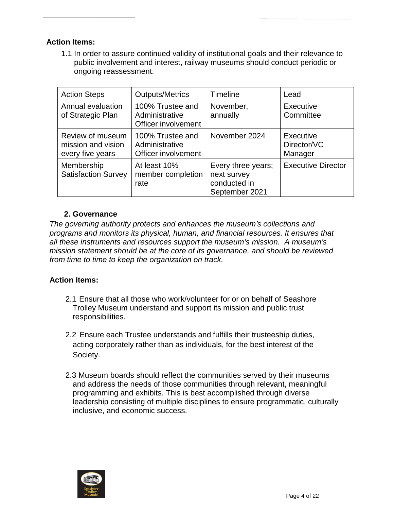#### **Action Items:**

1.1 In order to assure continued validity of institutional goals and their relevance to public involvement and interest, railway museums should conduct periodic or ongoing reassessment.

| <b>Action Steps</b>                                        | <b>Outputs/Metrics</b>                                    | <b>Timeline</b>                                                     | Lead                                |
|------------------------------------------------------------|-----------------------------------------------------------|---------------------------------------------------------------------|-------------------------------------|
| Annual evaluation<br>of Strategic Plan                     | 100% Trustee and<br>Administrative<br>Officer involvement | November,<br>annually                                               | Executive<br>Committee              |
| Review of museum<br>mission and vision<br>every five years | 100% Trustee and<br>Administrative<br>Officer involvement | November 2024                                                       | Executive<br>Director/VC<br>Manager |
| Membership<br><b>Satisfaction Survey</b>                   | At least 10%<br>member completion<br>rate                 | Every three years;<br>next survey<br>conducted in<br>September 2021 | <b>Executive Director</b>           |

#### **2. Governance**

*The governing authority protects and enhances the museum's collections and programs and monitors its physical, human, and financial resources. It ensures that all these instruments and resources support the museum's mission. A museum's mission statement should be at the core of its governance, and should be reviewed from time to time to keep the organization on track.*

#### **Action Items:**

- 2.1 Ensure that all those who work/volunteer for or on behalf of Seashore Trolley Museum understand and support its mission and public trust responsibilities.
- 2.2 Ensure each Trustee understands and fulfills their trusteeship duties, acting corporately rather than as individuals, for the best interest of the Society.
- 2.3 Museum boards should reflect the communities served by their museums and address the needs of those communities through relevant, meaningful programming and exhibits. This is best accomplished through diverse leadership consisting of multiple disciplines to ensure programmatic, culturally inclusive, and economic success.

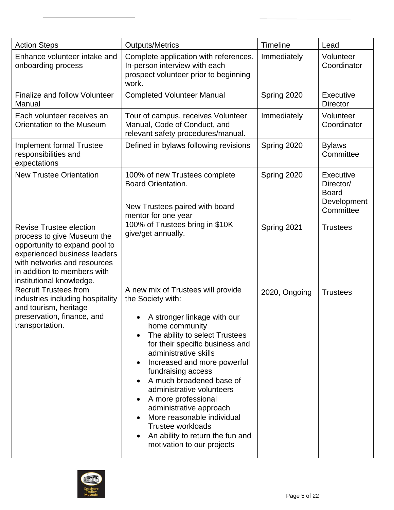| <b>Action Steps</b>                                                                                                                                                                                                     | <b>Outputs/Metrics</b>                                                                                                                                                                                                                                                                                                                                                                                                                                                                             | Timeline      | Lead                                                                      |
|-------------------------------------------------------------------------------------------------------------------------------------------------------------------------------------------------------------------------|----------------------------------------------------------------------------------------------------------------------------------------------------------------------------------------------------------------------------------------------------------------------------------------------------------------------------------------------------------------------------------------------------------------------------------------------------------------------------------------------------|---------------|---------------------------------------------------------------------------|
| Enhance volunteer intake and<br>onboarding process                                                                                                                                                                      | Complete application with references.<br>In-person interview with each<br>prospect volunteer prior to beginning<br>work.                                                                                                                                                                                                                                                                                                                                                                           | Immediately   | Volunteer<br>Coordinator                                                  |
| <b>Finalize and follow Volunteer</b><br>Manual                                                                                                                                                                          | <b>Completed Volunteer Manual</b>                                                                                                                                                                                                                                                                                                                                                                                                                                                                  | Spring 2020   | <b>Executive</b><br><b>Director</b>                                       |
| Each volunteer receives an<br>Orientation to the Museum                                                                                                                                                                 | Tour of campus, receives Volunteer<br>Manual, Code of Conduct, and<br>relevant safety procedures/manual.                                                                                                                                                                                                                                                                                                                                                                                           | Immediately   | Volunteer<br>Coordinator                                                  |
| <b>Implement formal Trustee</b><br>responsibilities and<br>expectations                                                                                                                                                 | Defined in bylaws following revisions                                                                                                                                                                                                                                                                                                                                                                                                                                                              | Spring 2020   | <b>Bylaws</b><br>Committee                                                |
| <b>New Trustee Orientation</b>                                                                                                                                                                                          | 100% of new Trustees complete<br><b>Board Orientation.</b><br>New Trustees paired with board<br>mentor for one year                                                                                                                                                                                                                                                                                                                                                                                | Spring 2020   | <b>Executive</b><br>Director/<br><b>Board</b><br>Development<br>Committee |
| <b>Revise Trustee election</b><br>process to give Museum the<br>opportunity to expand pool to<br>experienced business leaders<br>with networks and resources<br>in addition to members with<br>institutional knowledge. | 100% of Trustees bring in \$10K<br>give/get annually.                                                                                                                                                                                                                                                                                                                                                                                                                                              | Spring 2021   | <b>Trustees</b>                                                           |
| <b>Recruit Trustees from</b><br>industries including hospitality<br>and tourism, heritage<br>preservation, finance, and<br>transportation.                                                                              | A new mix of Trustees will provide<br>the Society with:<br>A stronger linkage with our<br>home community<br>The ability to select Trustees<br>for their specific business and<br>administrative skills<br>Increased and more powerful<br>fundraising access<br>A much broadened base of<br>administrative volunteers<br>A more professional<br>administrative approach<br>More reasonable individual<br><b>Trustee workloads</b><br>An ability to return the fun and<br>motivation to our projects | 2020, Ongoing | <b>Trustees</b>                                                           |

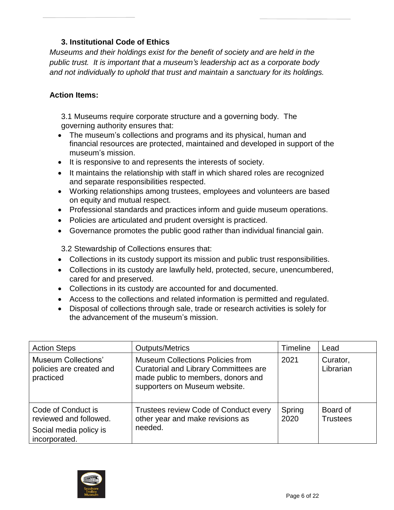# **3. Institutional Code of Ethics**

*Museums and their holdings exist for the benefit of society and are held in the public trust. It is important that a museum's leadership act as a corporate body and not individually to uphold that trust and maintain a sanctuary for its holdings.*

#### **Action Items:**

3.1 Museums require corporate structure and a governing body. The governing authority ensures that:

- The museum's collections and programs and its physical, human and financial resources are protected, maintained and developed in support of the museum's mission.
- It is responsive to and represents the interests of society.
- It maintains the relationship with staff in which shared roles are recognized and separate responsibilities respected.
- Working relationships among trustees, employees and volunteers are based on equity and mutual respect.
- Professional standards and practices inform and guide museum operations.
- Policies are articulated and prudent oversight is practiced.
- Governance promotes the public good rather than individual financial gain.

3.2 Stewardship of Collections ensures that:

- Collections in its custody support its mission and public trust responsibilities.
- Collections in its custody are lawfully held, protected, secure, unencumbered, cared for and preserved.
- Collections in its custody are accounted for and documented.
- Access to the collections and related information is permitted and regulated.
- Disposal of collections through sale, trade or research activities is solely for the advancement of the museum's mission.

| <b>Action Steps</b>                                                                     | <b>Outputs/Metrics</b>                                                                                                                                         | <b>Timeline</b> | Lead                        |
|-----------------------------------------------------------------------------------------|----------------------------------------------------------------------------------------------------------------------------------------------------------------|-----------------|-----------------------------|
| Museum Collections'<br>policies are created and<br>practiced                            | <b>Museum Collections Policies from</b><br><b>Curatorial and Library Committees are</b><br>made public to members, donors and<br>supporters on Museum website. | 2021            | Curator,<br>Librarian       |
| Code of Conduct is<br>reviewed and followed.<br>Social media policy is<br>incorporated. | Trustees review Code of Conduct every<br>other year and make revisions as<br>needed.                                                                           | Spring<br>2020  | Board of<br><b>Trustees</b> |

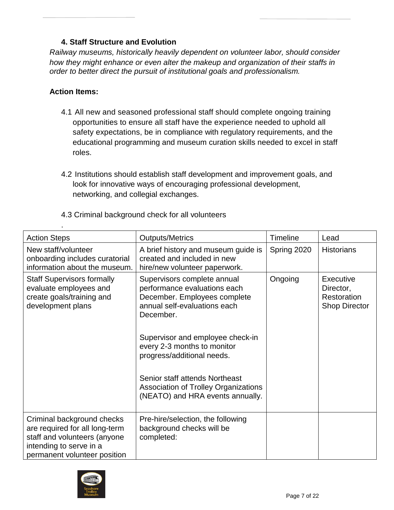# **4. Staff Structure and Evolution**

*Railway museums, historically heavily dependent on volunteer labor, should consider how they might enhance or even alter the makeup and organization of their staffs in order to better direct the pursuit of institutional goals and professionalism.*

#### **Action Items:**

.

- 4.1 All new and seasoned professional staff should complete ongoing training opportunities to ensure all staff have the experience needed to uphold all safety expectations, be in compliance with regulatory requirements, and the educational programming and museum curation skills needed to excel in staff roles.
- 4.2 Institutions should establish staff development and improvement goals, and look for innovative ways of encouraging professional development, networking, and collegial exchanges.

| <b>Action Steps</b>                                                                                                                                     | <b>Outputs/Metrics</b>                                                                                                                                                                                                                                                                                                                                  | <b>Timeline</b> | Lead                                                          |
|---------------------------------------------------------------------------------------------------------------------------------------------------------|---------------------------------------------------------------------------------------------------------------------------------------------------------------------------------------------------------------------------------------------------------------------------------------------------------------------------------------------------------|-----------------|---------------------------------------------------------------|
| New staff/volunteer<br>onboarding includes curatorial<br>information about the museum.                                                                  | A brief history and museum guide is<br>created and included in new<br>hire/new volunteer paperwork.                                                                                                                                                                                                                                                     | Spring 2020     | <b>Historians</b>                                             |
| <b>Staff Supervisors formally</b><br>evaluate employees and<br>create goals/training and<br>development plans                                           | Supervisors complete annual<br>performance evaluations each<br>December. Employees complete<br>annual self-evaluations each<br>December.<br>Supervisor and employee check-in<br>every 2-3 months to monitor<br>progress/additional needs.<br>Senior staff attends Northeast<br>Association of Trolley Organizations<br>(NEATO) and HRA events annually. | Ongoing         | Executive<br>Director,<br>Restoration<br><b>Shop Director</b> |
| Criminal background checks<br>are required for all long-term<br>staff and volunteers (anyone<br>intending to serve in a<br>permanent volunteer position | Pre-hire/selection, the following<br>background checks will be<br>completed:                                                                                                                                                                                                                                                                            |                 |                                                               |

# 4.3 Criminal background check for all volunteers

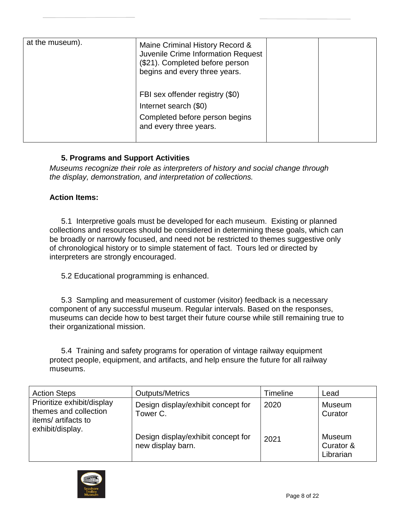| at the museum). | Maine Criminal History Record &<br>Juvenile Crime Information Request<br>(\$21). Completed before person<br>begins and every three years. |  |
|-----------------|-------------------------------------------------------------------------------------------------------------------------------------------|--|
|                 | FBI sex offender registry (\$0)<br>Internet search (\$0)<br>Completed before person begins<br>and every three years.                      |  |

#### **5. Programs and Support Activities**

*Museums recognize their role as interpreters of history and social change through the display, demonstration, and interpretation of collections.*

#### **Action Items:**

5.1 Interpretive goals must be developed for each museum. Existing or planned collections and resources should be considered in determining these goals, which can be broadly or narrowly focused, and need not be restricted to themes suggestive only of chronological history or to simple statement of fact. Tours led or directed by interpreters are strongly encouraged.

5.2 Educational programming is enhanced.

5.3 Sampling and measurement of customer (visitor) feedback is a necessary component of any successful museum. Regular intervals. Based on the responses, museums can decide how to best target their future course while still remaining true to their organizational mission.

5.4 Training and safety programs for operation of vintage railway equipment protect people, equipment, and artifacts, and help ensure the future for all railway museums.

| <b>Action Steps</b>                                                                           | <b>Outputs/Metrics</b>                                  | Timeline | Lead                             |
|-----------------------------------------------------------------------------------------------|---------------------------------------------------------|----------|----------------------------------|
| Prioritize exhibit/display<br>themes and collection<br>items/artifacts to<br>exhibit/display. | Design display/exhibit concept for<br>Tower C.          | 2020     | <b>Museum</b><br>Curator         |
|                                                                                               | Design display/exhibit concept for<br>new display barn. | 2021     | Museum<br>Curator &<br>Librarian |

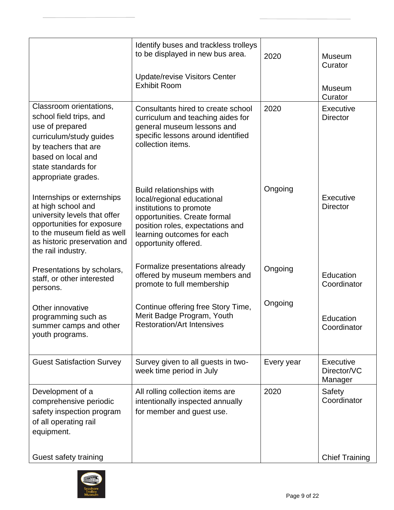|                                                                                                                                                                                                     | Identify buses and trackless trolleys<br>to be displayed in new bus area.                                                                                                                                   | 2020       | Museum<br>Curator                          |
|-----------------------------------------------------------------------------------------------------------------------------------------------------------------------------------------------------|-------------------------------------------------------------------------------------------------------------------------------------------------------------------------------------------------------------|------------|--------------------------------------------|
|                                                                                                                                                                                                     | <b>Update/revise Visitors Center</b><br><b>Exhibit Room</b>                                                                                                                                                 |            | Museum<br>Curator                          |
| Classroom orientations,<br>school field trips, and<br>use of prepared<br>curriculum/study guides<br>by teachers that are<br>based on local and<br>state standards for<br>appropriate grades.        | Consultants hired to create school<br>curriculum and teaching aides for<br>general museum lessons and<br>specific lessons around identified<br>collection items.                                            | 2020       | Executive<br><b>Director</b>               |
| Internships or externships<br>at high school and<br>university levels that offer<br>opportunities for exposure<br>to the museum field as well<br>as historic preservation and<br>the rail industry. | Build relationships with<br>local/regional educational<br>institutions to promote<br>opportunities. Create formal<br>position roles, expectations and<br>learning outcomes for each<br>opportunity offered. | Ongoing    | Executive<br><b>Director</b>               |
| Presentations by scholars,<br>staff, or other interested<br>persons.                                                                                                                                | Formalize presentations already<br>offered by museum members and<br>promote to full membership                                                                                                              | Ongoing    | Education<br>Coordinator                   |
| Other innovative<br>programming such as<br>summer camps and other<br>youth programs.                                                                                                                | Continue offering free Story Time,<br>Merit Badge Program, Youth<br><b>Restoration/Art Intensives</b>                                                                                                       | Ongoing    | Education<br>Coordinator                   |
| <b>Guest Satisfaction Survey</b>                                                                                                                                                                    | Survey given to all guests in two-<br>week time period in July                                                                                                                                              | Every year | <b>Executive</b><br>Director/VC<br>Manager |
| Development of a<br>comprehensive periodic<br>safety inspection program<br>of all operating rail<br>equipment.                                                                                      | All rolling collection items are<br>intentionally inspected annually<br>for member and guest use.                                                                                                           | 2020       | Safety<br>Coordinator                      |
| Guest safety training                                                                                                                                                                               |                                                                                                                                                                                                             |            | <b>Chief Training</b>                      |

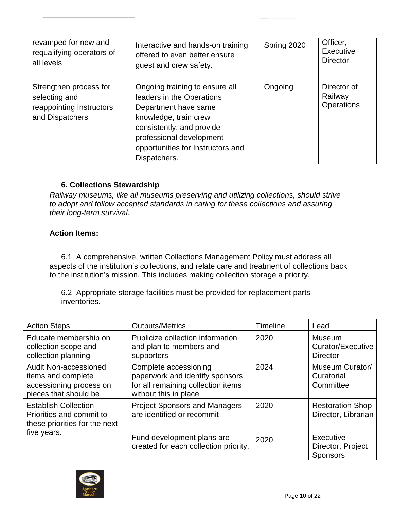| revamped for new and                                                                   | Interactive and hands-on training                                                                                                                                                                                          | Spring 2020 | Officer,                             |
|----------------------------------------------------------------------------------------|----------------------------------------------------------------------------------------------------------------------------------------------------------------------------------------------------------------------------|-------------|--------------------------------------|
| requalifying operators of                                                              | offered to even better ensure                                                                                                                                                                                              |             | Executive                            |
| all levels                                                                             | guest and crew safety.                                                                                                                                                                                                     |             | <b>Director</b>                      |
| Strengthen process for<br>selecting and<br>reappointing Instructors<br>and Dispatchers | Ongoing training to ensure all<br>leaders in the Operations<br>Department have same<br>knowledge, train crew<br>consistently, and provide<br>professional development<br>opportunities for Instructors and<br>Dispatchers. | Ongoing     | Director of<br>Railway<br>Operations |

#### **6. Collections Stewardship**

*Railway museums, like all museums preserving and utilizing collections, should strive to adopt and follow accepted standards in caring for these collections and assuring their long-term survival.*

#### **Action Items:**

6.1 A comprehensive, written Collections Management Policy must address all aspects of the institution's collections, and relate care and treatment of collections back to the institution's mission. This includes making collection storage a priority.

6.2 Appropriate storage facilities must be provided for replacement parts inventories.

| <b>Action Steps</b>                                                                                    | <b>Outputs/Metrics</b>                                                                                                  | Timeline | Lead                                                  |
|--------------------------------------------------------------------------------------------------------|-------------------------------------------------------------------------------------------------------------------------|----------|-------------------------------------------------------|
| Educate membership on<br>collection scope and<br>collection planning                                   | Publicize collection information<br>and plan to members and<br>supporters                                               | 2020     | <b>Museum</b><br>Curator/Executive<br><b>Director</b> |
| <b>Audit Non-accessioned</b><br>items and complete<br>accessioning process on<br>pieces that should be | Complete accessioning<br>paperwork and identify sponsors<br>for all remaining collection items<br>without this in place | 2024     | <b>Museum Curator/</b><br>Curatorial<br>Committee     |
| <b>Establish Collection</b><br>Priorities and commit to<br>these priorities for the next               | <b>Project Sponsors and Managers</b><br>are identified or recommit                                                      | 2020     | <b>Restoration Shop</b><br>Director, Librarian        |
| five years.                                                                                            | Fund development plans are<br>created for each collection priority.                                                     | 2020     | Executive<br>Director, Project<br><b>Sponsors</b>     |

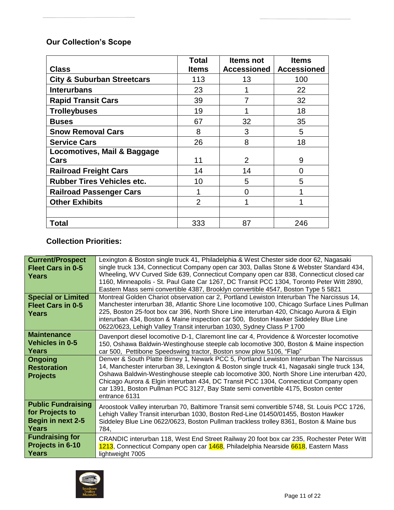# **Our Collection's Scope**

|                                       | <b>Total</b>   | <b>Items not</b> | <b>Items</b>       |
|---------------------------------------|----------------|------------------|--------------------|
| <b>Class</b>                          | <b>Items</b>   | Accessioned      | <b>Accessioned</b> |
| <b>City &amp; Suburban Streetcars</b> | 113            | 13               | 100                |
| <b>Interurbans</b>                    | 23             |                  | 22                 |
| <b>Rapid Transit Cars</b>             | 39             |                  | 32                 |
| <b>Trolleybuses</b>                   | 19             |                  | 18                 |
| <b>Buses</b>                          | 67             | 32               | 35                 |
| <b>Snow Removal Cars</b>              | 8              | 3                | 5                  |
| <b>Service Cars</b>                   | 26             | 8                | 18                 |
| Locomotives, Mail & Baggage           |                |                  |                    |
| Cars                                  | 11             | $\overline{2}$   | 9                  |
| <b>Railroad Freight Cars</b>          | 14             | 14               | 0                  |
| <b>Rubber Tires Vehicles etc.</b>     | 10             | 5                | 5                  |
| <b>Railroad Passenger Cars</b>        | 1              | 0                |                    |
| <b>Other Exhibits</b>                 | $\overline{2}$ |                  |                    |
|                                       |                |                  |                    |
| Total                                 | 333            | 87               | 246                |

# **Collection Priorities:**

| <b>Current/Prospect</b><br><b>Fleet Cars in 0-5</b><br>Years                      | Lexington & Boston single truck 41, Philadelphia & West Chester side door 62, Nagasaki<br>single truck 134, Connecticut Company open car 303, Dallas Stone & Webster Standard 434,<br>Wheeling, WV Curved Side 639, Connecticut Company open car 838, Connecticut closed car<br>1160, Minneapolis - St. Paul Gate Car 1267, DC Transit PCC 1304, Toronto Peter Witt 2890,                                                                                                                                                                 |
|-----------------------------------------------------------------------------------|-------------------------------------------------------------------------------------------------------------------------------------------------------------------------------------------------------------------------------------------------------------------------------------------------------------------------------------------------------------------------------------------------------------------------------------------------------------------------------------------------------------------------------------------|
| <b>Special or Limited</b><br><b>Fleet Cars in 0-5</b><br><b>Years</b>             | Eastern Mass semi convertible 4387, Brooklyn convertible 4547, Boston Type 5 5821<br>Montreal Golden Chariot observation car 2, Portland Lewiston Interurban The Narcissus 14,<br>Manchester interurban 38, Atlantic Shore Line locomotive 100, Chicago Surface Lines Pullman<br>225, Boston 25-foot box car 396, North Shore Line interurban 420, Chicago Aurora & Elgin<br>interurban 434, Boston & Maine inspection car 500, Boston Hawker Siddeley Blue Line<br>0622/0623, Lehigh Valley Transit interurban 1030, Sydney Class P 1700 |
| <b>Maintenance</b><br><b>Vehicles in 0-5</b><br>Years                             | Davenport diesel locomotive D-1, Claremont line car 4, Providence & Worcester locomotive<br>150, Oshawa Baldwin-Westinghouse steeple cab locomotive 300, Boston & Maine inspection<br>car 500, Pettibone Speedswing tractor, Boston snow plow 5106, "Flap"                                                                                                                                                                                                                                                                                |
| <b>Ongoing</b><br><b>Restoration</b><br><b>Projects</b>                           | Denver & South Platte Birney 1, Newark PCC 5, Portland Lewiston Interurban The Narcissus<br>14, Manchester interurban 38, Lexington & Boston single truck 41, Nagasaki single truck 134,<br>Oshawa Baldwin-Westinghouse steeple cab locomotive 300, North Shore Line interurban 420,<br>Chicago Aurora & Elgin interurban 434, DC Transit PCC 1304, Connecticut Company open<br>car 1391, Boston Pullman PCC 3127, Bay State semi convertible 4175, Boston center<br>entrance 6131                                                        |
| <b>Public Fundraising</b><br>for Projects to<br><b>Begin in next 2-5</b><br>Years | Aroostook Valley interurban 70, Baltimore Transit semi convertible 5748, St. Louis PCC 1726,<br>Lehigh Valley Transit interurban 1030, Boston Red-Line 01450/01455, Boston Hawker<br>Siddeley Blue Line 0622/0623, Boston Pullman trackless trolley 8361, Boston & Maine bus<br>784,                                                                                                                                                                                                                                                      |
| <b>Fundraising for</b><br>Projects in 6-10<br><b>Years</b>                        | CRANDIC interurban 118, West End Street Railway 20 foot box car 235, Rochester Peter Witt<br>1213, Connecticut Company open car 1468, Philadelphia Nearside 6618, Eastern Mass<br>lightweight 7005                                                                                                                                                                                                                                                                                                                                        |

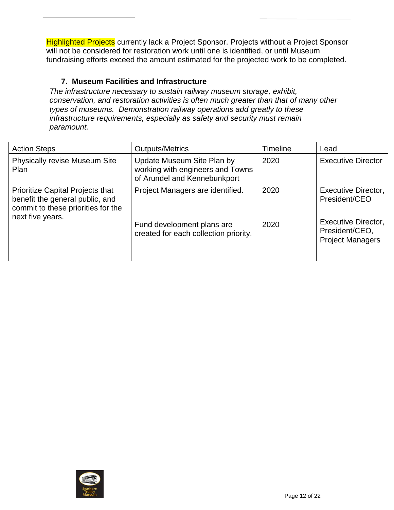**Highlighted Projects** currently lack a Project Sponsor. Projects without a Project Sponsor will not be considered for restoration work until one is identified, or until Museum fundraising efforts exceed the amount estimated for the projected work to be completed.

# **7. Museum Facilities and Infrastructure**

*The infrastructure necessary to sustain railway museum storage, exhibit, conservation, and restoration activities is often much greater than that of many other types of museums. Demonstration railway operations add greatly to these infrastructure requirements, especially as safety and security must remain paramount.*

| <b>Action Steps</b>                                                                                              | <b>Outputs/Metrics</b>                                                                         | Timeline | Lead                                                             |
|------------------------------------------------------------------------------------------------------------------|------------------------------------------------------------------------------------------------|----------|------------------------------------------------------------------|
| <b>Physically revise Museum Site</b><br>Plan                                                                     | Update Museum Site Plan by<br>working with engineers and Towns<br>of Arundel and Kennebunkport | 2020     | <b>Executive Director</b>                                        |
| <b>Prioritize Capital Projects that</b><br>benefit the general public, and<br>commit to these priorities for the | Project Managers are identified.                                                               | 2020     | Executive Director,<br>President/CEO                             |
| next five years.                                                                                                 | Fund development plans are<br>created for each collection priority.                            | 2020     | Executive Director,<br>President/CEO,<br><b>Project Managers</b> |

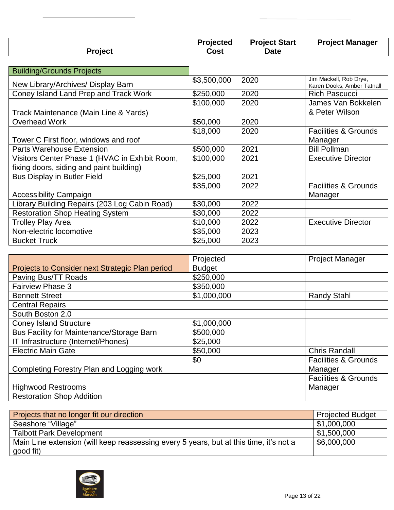|                | <b>Projected</b> | <b>Project Start</b> | <b>Project Manager</b> |
|----------------|------------------|----------------------|------------------------|
| <b>Project</b> | Cost             | <b>Date</b>          |                        |

| <b>Building/Grounds Projects</b>               |             |      |                                                      |
|------------------------------------------------|-------------|------|------------------------------------------------------|
| New Library/Archives/ Display Barn             | \$3,500,000 | 2020 | Jim Mackell, Rob Drye,<br>Karen Dooks, Amber Tatnall |
| Coney Island Land Prep and Track Work          | \$250,000   | 2020 | <b>Rich Pascucci</b>                                 |
|                                                | \$100,000   | 2020 | James Van Bokkelen                                   |
| Track Maintenance (Main Line & Yards)          |             |      | & Peter Wilson                                       |
| <b>Overhead Work</b>                           | \$50,000    | 2020 |                                                      |
|                                                | \$18,000    | 2020 | <b>Facilities &amp; Grounds</b>                      |
| Tower C First floor, windows and roof          |             |      | Manager                                              |
| <b>Parts Warehouse Extension</b>               | \$500,000   | 2021 | <b>Bill Pollman</b>                                  |
| Visitors Center Phase 1 (HVAC in Exhibit Room, | \$100,000   | 2021 | <b>Executive Director</b>                            |
| fixing doors, siding and paint building)       |             |      |                                                      |
| <b>Bus Display in Butler Field</b>             | \$25,000    | 2021 |                                                      |
|                                                | \$35,000    | 2022 | <b>Facilities &amp; Grounds</b>                      |
| <b>Accessibility Campaign</b>                  |             |      | Manager                                              |
| Library Building Repairs (203 Log Cabin Road)  | \$30,000    | 2022 |                                                      |
| <b>Restoration Shop Heating System</b>         | \$30,000    | 2022 |                                                      |
| <b>Trolley Play Area</b>                       | \$10,000    | 2022 | <b>Executive Director</b>                            |
| Non-electric locomotive                        | \$35,000    | 2023 |                                                      |
| <b>Bucket Truck</b>                            | \$25,000    | 2023 |                                                      |

|                                                  | Projected     | <b>Project Manager</b>          |
|--------------------------------------------------|---------------|---------------------------------|
| Projects to Consider next Strategic Plan period  | <b>Budget</b> |                                 |
| Paving Bus/TT Roads                              | \$250,000     |                                 |
| <b>Fairview Phase 3</b>                          | \$350,000     |                                 |
| <b>Bennett Street</b>                            | \$1,000,000   | <b>Randy Stahl</b>              |
| <b>Central Repairs</b>                           |               |                                 |
| South Boston 2.0                                 |               |                                 |
| <b>Coney Island Structure</b>                    | \$1,000,000   |                                 |
| <b>Bus Facility for Maintenance/Storage Barn</b> | \$500,000     |                                 |
| IT Infrastructure (Internet/Phones)              | \$25,000      |                                 |
| <b>Electric Main Gate</b>                        | \$50,000      | <b>Chris Randall</b>            |
|                                                  | \$0           | <b>Facilities &amp; Grounds</b> |
| Completing Forestry Plan and Logging work        |               | Manager                         |
|                                                  |               | <b>Facilities &amp; Grounds</b> |
| <b>Highwood Restrooms</b>                        |               | Manager                         |
| <b>Restoration Shop Addition</b>                 |               |                                 |

| Projects that no longer fit our direction                                              | <b>Projected Budget</b>   |
|----------------------------------------------------------------------------------------|---------------------------|
| Seashore "Village"                                                                     | $\vert$ \$1,000,000       |
| <b>Talbott Park Development</b>                                                        | $\frac{1}{2}$ \$1,500,000 |
| Main Line extension (will keep reassessing every 5 years, but at this time, it's not a | $\frac{1}{2}$ \$6,000,000 |
| good fit)                                                                              |                           |

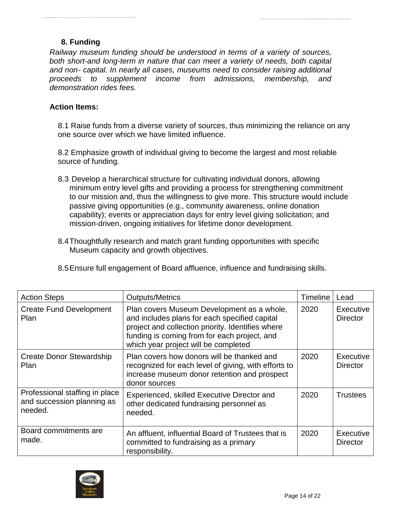# **8. Funding**

*Railway museum funding should be understood in terms of a variety of sources, both short-and long-term in nature that can meet a variety of needs, both capital and non- capital. In nearly all cases, museums need to consider raising additional proceeds to supplement income from admissions, membership, and demonstration rides fees.*

#### **Action Items:**

8.1 Raise funds from a diverse variety of sources, thus minimizing the reliance on any one source over which we have limited influence.

8.2 Emphasize growth of individual giving to become the largest and most reliable source of funding.

- 8.3 Develop a hierarchical structure for cultivating individual donors, allowing minimum entry level gifts and providing a process for strengthening commitment to our mission and, thus the willingness to give more. This structure would include passive giving opportunities (e.g., community awareness, online donation capability); events or appreciation days for entry level giving solicitation; and mission-driven, ongoing initiatives for lifetime donor development.
- 8.4Thoughtfully research and match grant funding opportunities with specific Museum capacity and growth objectives.

| <b>Action Steps</b>                                                     | <b>Outputs/Metrics</b>                                                                                                                                                                                                                   | Timeline | Lead                         |
|-------------------------------------------------------------------------|------------------------------------------------------------------------------------------------------------------------------------------------------------------------------------------------------------------------------------------|----------|------------------------------|
| <b>Create Fund Development</b><br>Plan                                  | Plan covers Museum Development as a whole,<br>and includes plans for each specified capital<br>project and collection priority. Identifies where<br>funding is coming from for each project, and<br>which year project will be completed | 2020     | Executive<br><b>Director</b> |
| Create Donor Stewardship<br><b>Plan</b>                                 | Plan covers how donors will be thanked and<br>recognized for each level of giving, with efforts to<br>increase museum donor retention and prospect<br>donor sources                                                                      | 2020     | Executive<br><b>Director</b> |
| Professional staffing in place<br>and succession planning as<br>needed. | Experienced, skilled Executive Director and<br>other dedicated fundraising personnel as<br>needed.                                                                                                                                       | 2020     | <b>Trustees</b>              |
| Board commitments are<br>made.                                          | An affluent, influential Board of Trustees that is<br>committed to fundraising as a primary<br>responsibility.                                                                                                                           | 2020     | Executive<br><b>Director</b> |

8.5Ensure full engagement of Board affluence, influence and fundraising skills.

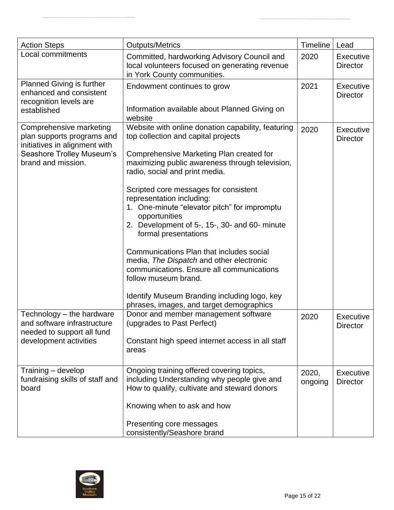| <b>Action Steps</b>                                                                                                                       | <b>Outputs/Metrics</b>                                                                                                                                                                                                                                                                                                                                                                                                                                                                                                                                                                                                                                                                              | <b>Timeline</b>  | Lead                                |
|-------------------------------------------------------------------------------------------------------------------------------------------|-----------------------------------------------------------------------------------------------------------------------------------------------------------------------------------------------------------------------------------------------------------------------------------------------------------------------------------------------------------------------------------------------------------------------------------------------------------------------------------------------------------------------------------------------------------------------------------------------------------------------------------------------------------------------------------------------------|------------------|-------------------------------------|
| Local commitments                                                                                                                         | Committed, hardworking Advisory Council and<br>local volunteers focused on generating revenue<br>in York County communities.                                                                                                                                                                                                                                                                                                                                                                                                                                                                                                                                                                        | 2020             | <b>Executive</b><br><b>Director</b> |
| <b>Planned Giving is further</b><br>enhanced and consistent<br>recognition levels are<br>established                                      | Endowment continues to grow<br>Information available about Planned Giving on<br>website                                                                                                                                                                                                                                                                                                                                                                                                                                                                                                                                                                                                             | 2021             | Executive<br><b>Director</b>        |
| Comprehensive marketing<br>plan supports programs and<br>initiatives in alignment with<br>Seashore Trolley Museum's<br>brand and mission. | Website with online donation capability, featuring<br>top collection and capital projects<br>Comprehensive Marketing Plan created for<br>maximizing public awareness through television,<br>radio, social and print media.<br>Scripted core messages for consistent<br>representation including:<br>1. One-minute "elevator pitch" for impromptu<br>opportunities<br>2. Development of 5-, 15-, 30- and 60- minute<br>formal presentations<br>Communications Plan that includes social<br>media, The Dispatch and other electronic<br>communications. Ensure all communications<br>follow museum brand.<br>Identify Museum Branding including logo, key<br>phrases, images, and target demographics | 2020             | <b>Executive</b><br><b>Director</b> |
| Technology $-$ the hardware<br>and software infrastructure<br>needed to support all fund<br>development activities                        | Donor and member management software<br>(upgrades to Past Perfect)<br>Constant high speed internet access in all staff<br>areas                                                                                                                                                                                                                                                                                                                                                                                                                                                                                                                                                                     | 2020             | Executive<br><b>Director</b>        |
| Training - develop<br>fundraising skills of staff and<br>board                                                                            | Ongoing training offered covering topics,<br>including Understanding why people give and<br>How to qualify, cultivate and steward donors<br>Knowing when to ask and how<br>Presenting core messages<br>consistently/Seashore brand                                                                                                                                                                                                                                                                                                                                                                                                                                                                  | 2020,<br>ongoing | Executive<br><b>Director</b>        |

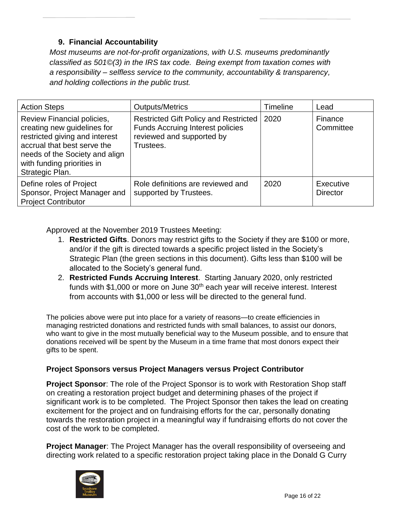# **9. Financial Accountability**

*Most museums are not-for-profit organizations, with U.S. museums predominantly classified as 501©(3) in the IRS tax code. Being exempt from taxation comes with a responsibility – selfless service to the community, accountability & transparency, and holding collections in the public trust.*

| <b>Action Steps</b>                                                                                                                                                                                           | <b>Outputs/Metrics</b>                                                                                                     | Timeline | Lead                         |
|---------------------------------------------------------------------------------------------------------------------------------------------------------------------------------------------------------------|----------------------------------------------------------------------------------------------------------------------------|----------|------------------------------|
| Review Financial policies,<br>creating new guidelines for<br>restricted giving and interest<br>accrual that best serve the<br>needs of the Society and align<br>with funding priorities in<br>Strategic Plan. | Restricted Gift Policy and Restricted<br><b>Funds Accruing Interest policies</b><br>reviewed and supported by<br>Trustees. | 2020     | Finance<br>Committee         |
| Define roles of Project<br>Sponsor, Project Manager and<br><b>Project Contributor</b>                                                                                                                         | Role definitions are reviewed and<br>supported by Trustees.                                                                | 2020     | Executive<br><b>Director</b> |

Approved at the November 2019 Trustees Meeting:

- 1. **Restricted Gifts**. Donors may restrict gifts to the Society if they are \$100 or more, and/or if the gift is directed towards a specific project listed in the Society's Strategic Plan (the green sections in this document). Gifts less than \$100 will be allocated to the Society's general fund.
- 2. **Restricted Funds Accruing Interest**. Starting January 2020, only restricted funds with \$1,000 or more on June  $30<sup>th</sup>$  each year will receive interest. Interest from accounts with \$1,000 or less will be directed to the general fund.

The policies above were put into place for a variety of reasons—to create efficiencies in managing restricted donations and restricted funds with small balances, to assist our donors, who want to give in the most mutually beneficial way to the Museum possible, and to ensure that donations received will be spent by the Museum in a time frame that most donors expect their gifts to be spent.

#### **Project Sponsors versus Project Managers versus Project Contributor**

**Project Sponsor**: The role of the Project Sponsor is to work with Restoration Shop staff on creating a restoration project budget and determining phases of the project if significant work is to be completed. The Project Sponsor then takes the lead on creating excitement for the project and on fundraising efforts for the car, personally donating towards the restoration project in a meaningful way if fundraising efforts do not cover the cost of the work to be completed.

**Project Manager**: The Project Manager has the overall responsibility of overseeing and directing work related to a specific restoration project taking place in the Donald G Curry

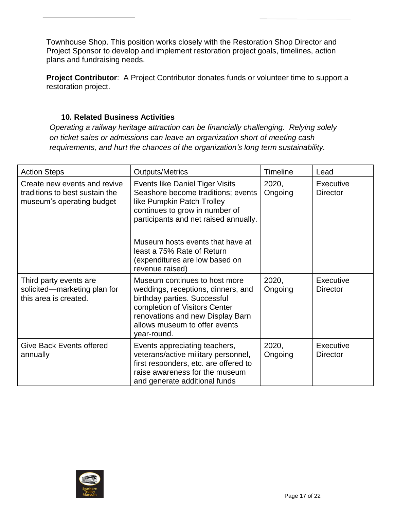Townhouse Shop. This position works closely with the Restoration Shop Director and Project Sponsor to develop and implement restoration project goals, timelines, action plans and fundraising needs.

**Project Contributor:** A Project Contributor donates funds or volunteer time to support a restoration project.

#### **10. Related Business Activities**

*Operating a railway heritage attraction can be financially challenging. Relying solely on ticket sales or admissions can leave an organization short of meeting cash requirements, and hurt the chances of the organization's long term sustainability.*

| <b>Action Steps</b>                                                                         | <b>Outputs/Metrics</b>                                                                                                                                                                                                                                                             | <b>Timeline</b>  | Lead                                |
|---------------------------------------------------------------------------------------------|------------------------------------------------------------------------------------------------------------------------------------------------------------------------------------------------------------------------------------------------------------------------------------|------------------|-------------------------------------|
| Create new events and revive<br>traditions to best sustain the<br>museum's operating budget | Events like Daniel Tiger Visits<br>Seashore become traditions; events<br>like Pumpkin Patch Trolley<br>continues to grow in number of<br>participants and net raised annually.<br>Museum hosts events that have at<br>least a 75% Rate of Return<br>(expenditures are low based on | 2020,<br>Ongoing | Executive<br><b>Director</b>        |
|                                                                                             | revenue raised)                                                                                                                                                                                                                                                                    |                  |                                     |
| Third party events are<br>solicited—marketing plan for<br>this area is created.             | Museum continues to host more<br>weddings, receptions, dinners, and<br>birthday parties. Successful<br>completion of Visitors Center<br>renovations and new Display Barn<br>allows museum to offer events<br>year-round.                                                           | 2020,<br>Ongoing | Executive<br><b>Director</b>        |
| <b>Give Back Events offered</b><br>annually                                                 | Events appreciating teachers,<br>veterans/active military personnel,<br>first responders, etc. are offered to<br>raise awareness for the museum<br>and generate additional funds                                                                                                   | 2020,<br>Ongoing | <b>Executive</b><br><b>Director</b> |

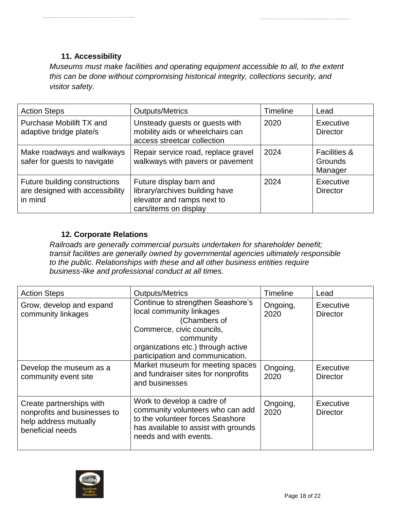# **11. Accessibility**

*Museums must make facilities and operating equipment accessible to all, to the extent this can be done without compromising historical integrity, collections security, and visitor safety.*

| <b>Action Steps</b>                                                         | <b>Outputs/Metrics</b>                                                                                           | <b>Timeline</b> | Lead                                                 |
|-----------------------------------------------------------------------------|------------------------------------------------------------------------------------------------------------------|-----------------|------------------------------------------------------|
| Purchase Mobilift TX and<br>adaptive bridge plate/s                         | Unsteady guests or guests with<br>mobility aids or wheelchairs can<br>access streetcar collection                | 2020            | Executive<br><b>Director</b>                         |
| Make roadways and walkways<br>safer for guests to navigate                  | Repair service road, replace gravel<br>walkways with pavers or pavement                                          | 2024            | <b>Facilities &amp;</b><br><b>Grounds</b><br>Manager |
| Future building constructions<br>are designed with accessibility<br>in mind | Future display barn and<br>library/archives building have<br>elevator and ramps next to<br>cars/items on display | 2024            | Executive<br><b>Director</b>                         |

# **12. Corporate Relations**

*Railroads are generally commercial pursuits undertaken for shareholder benefit; transit facilities are generally owned by governmental agencies ultimately responsible to the public. Relationships with these and all other business entities require business-like and professional conduct at all times.*

| <b>Action Steps</b>                                                                                   | <b>Outputs/Metrics</b>                                                                                                                                                                            | <b>Timeline</b>  | Lead                         |
|-------------------------------------------------------------------------------------------------------|---------------------------------------------------------------------------------------------------------------------------------------------------------------------------------------------------|------------------|------------------------------|
| Grow, develop and expand<br>community linkages                                                        | Continue to strengthen Seashore's<br>local community linkages<br>(Chambers of<br>Commerce, civic councils,<br>community<br>organizations etc.) through active<br>participation and communication. | Ongoing,<br>2020 | Executive<br><b>Director</b> |
| Develop the museum as a<br>community event site                                                       | Market museum for meeting spaces<br>and fundraiser sites for nonprofits<br>and businesses                                                                                                         | Ongoing,<br>2020 | Executive<br>Director        |
| Create partnerships with<br>nonprofits and businesses to<br>help address mutually<br>beneficial needs | Work to develop a cadre of<br>community volunteers who can add<br>to the volunteer forces Seashore<br>has available to assist with grounds<br>needs and with events.                              | Ongoing,<br>2020 | Executive<br><b>Director</b> |

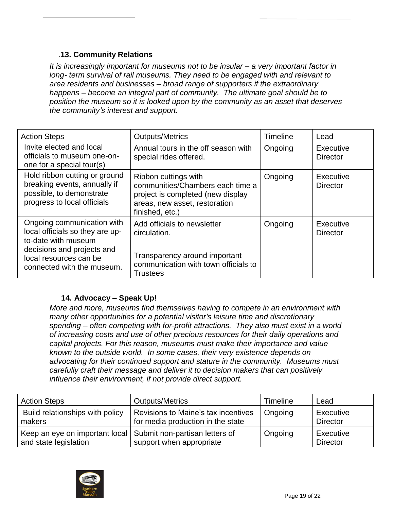# .**13. Community Relations**

*It is increasingly important for museums not to be insular – a very important factor in long- term survival of rail museums. They need to be engaged with and relevant to area residents and businesses – broad range of supporters if the extraordinary happens – become an integral part of community. The ultimate goal should be to position the museum so it is looked upon by the community as an asset that deserves the community's interest and support.*

| <b>Action Steps</b>                                                                                                                                                        | <b>Outputs/Metrics</b>                                                                                                                            | Timeline | Lead                         |
|----------------------------------------------------------------------------------------------------------------------------------------------------------------------------|---------------------------------------------------------------------------------------------------------------------------------------------------|----------|------------------------------|
| Invite elected and local<br>officials to museum one-on-<br>one for a special tour(s)                                                                                       | Annual tours in the off season with<br>special rides offered.                                                                                     | Ongoing  | Executive<br><b>Director</b> |
| Hold ribbon cutting or ground<br>breaking events, annually if<br>possible, to demonstrate<br>progress to local officials                                                   | Ribbon cuttings with<br>communities/Chambers each time a<br>project is completed (new display<br>areas, new asset, restoration<br>finished, etc.) | Ongoing  | Executive<br><b>Director</b> |
| Ongoing communication with<br>local officials so they are up-<br>to-date with museum<br>decisions and projects and<br>local resources can be<br>connected with the museum. | Add officials to newsletter<br>circulation.<br>Transparency around important<br>communication with town officials to<br><b>Trustees</b>           | Ongoing  | Executive<br><b>Director</b> |

# **14. Advocacy – Speak Up!**

*More and more, museums find themselves having to compete in an environment with many other opportunities for a potential visitor's leisure time and discretionary spending – often competing with for-profit attractions. They also must exist in a world of increasing costs and use of other precious resources for their daily operations and capital projects. For this reason, museums must make their importance and value known to the outside world. In some cases, their very existence depends on advocating for their continued support and stature in the community. Museums must carefully craft their message and deliver it to decision makers that can positively influence their environment, if not provide direct support.*

| <b>Action Steps</b>                                                                      | <b>Outputs/Metrics</b>                                                   | Timeline | Lead                         |
|------------------------------------------------------------------------------------------|--------------------------------------------------------------------------|----------|------------------------------|
| Build relationships with policy<br>makers                                                | Revisions to Maine's tax incentives<br>for media production in the state | Ongoing  | Executive<br><b>Director</b> |
| Keep an eye on important local   Submit non-partisan letters of<br>and state legislation | support when appropriate                                                 | Ongoing  | Executive<br><b>Director</b> |

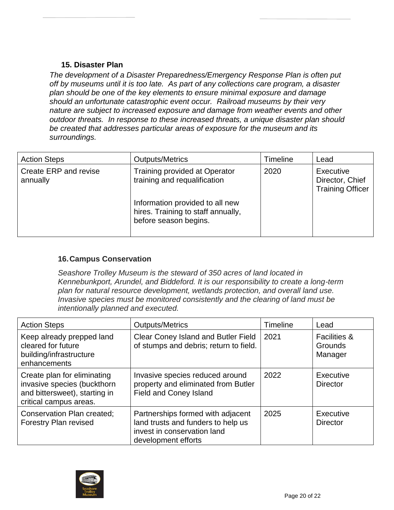# **15. Disaster Plan**

*The development of a Disaster Preparedness/Emergency Response Plan is often put off by museums until it is too late. As part of any collections care program, a disaster plan should be one of the key elements to ensure minimal exposure and damage should an unfortunate catastrophic event occur. Railroad museums by their very nature are subject to increased exposure and damage from weather events and other outdoor threats. In response to these increased threats, a unique disaster plan should be created that addresses particular areas of exposure for the museum and its surroundings.*

| <b>Action Steps</b>               | <b>Outputs/Metrics</b>                                                                         | <b>Timeline</b> | Lead                                                    |
|-----------------------------------|------------------------------------------------------------------------------------------------|-----------------|---------------------------------------------------------|
| Create ERP and revise<br>annually | <b>Training provided at Operator</b><br>training and requalification                           | 2020            | Executive<br>Director, Chief<br><b>Training Officer</b> |
|                                   | Information provided to all new<br>hires. Training to staff annually,<br>before season begins. |                 |                                                         |

# **16.Campus Conservation**

*Seashore Trolley Museum is the steward of 350 acres of land located in Kennebunkport, Arundel, and Biddeford. It is our responsibility to create a long-term plan for natural resource development, wetlands protection, and overall land use. Invasive species must be monitored consistently and the clearing of land must be intentionally planned and executed.* 

| <b>Action Steps</b>                                                                                                   | <b>Outputs/Metrics</b>                                                                                                        | <b>Timeline</b> | Lead                                                 |
|-----------------------------------------------------------------------------------------------------------------------|-------------------------------------------------------------------------------------------------------------------------------|-----------------|------------------------------------------------------|
| Keep already prepped land<br>cleared for future<br>building/infrastructure<br>enhancements                            | Clear Coney Island and Butler Field<br>of stumps and debris; return to field.                                                 | 2021            | <b>Facilities &amp;</b><br><b>Grounds</b><br>Manager |
| Create plan for eliminating<br>invasive species (buckthorn<br>and bittersweet), starting in<br>critical campus areas. | Invasive species reduced around<br>property and eliminated from Butler<br><b>Field and Coney Island</b>                       | 2022            | Executive<br><b>Director</b>                         |
| <b>Conservation Plan created;</b><br><b>Forestry Plan revised</b>                                                     | Partnerships formed with adjacent<br>land trusts and funders to help us<br>invest in conservation land<br>development efforts | 2025            | Executive<br><b>Director</b>                         |